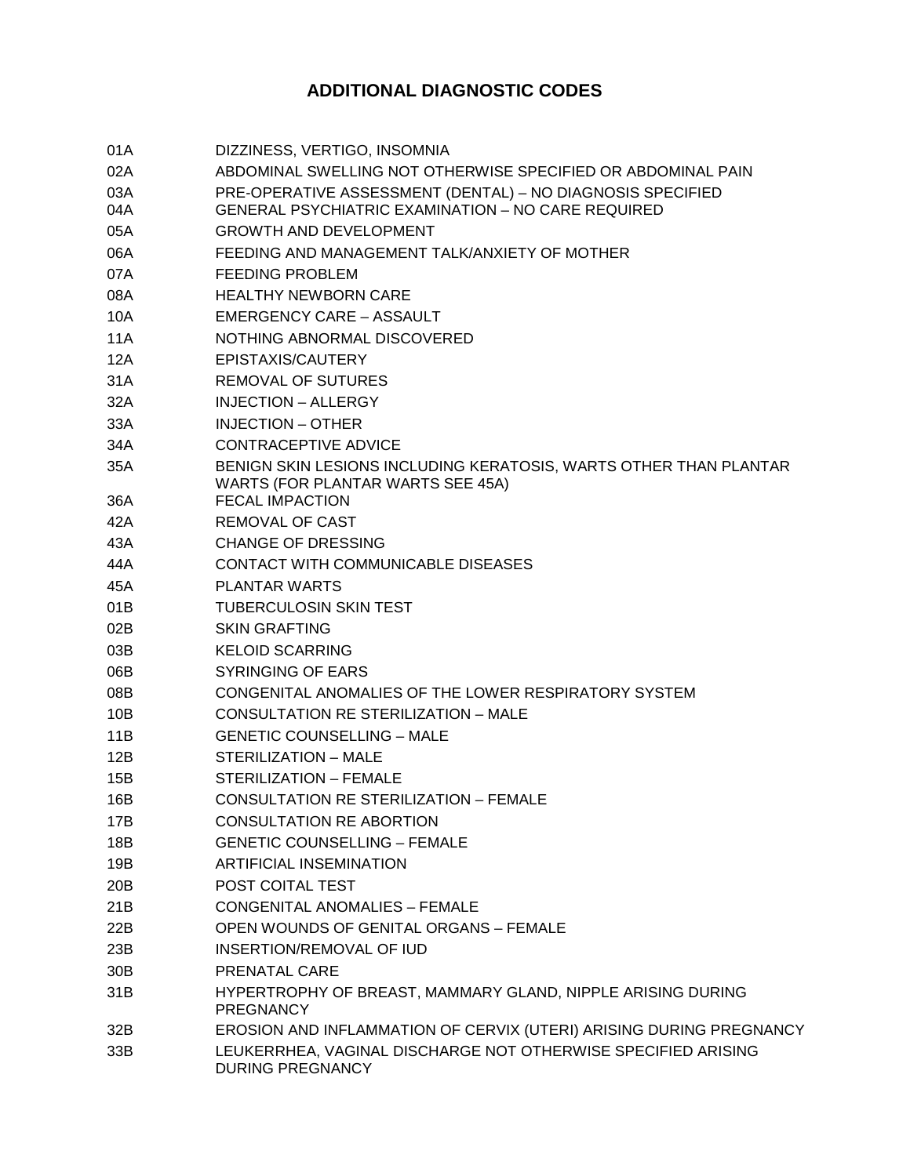## **ADDITIONAL DIAGNOSTIC CODES**

| 01A             | DIZZINESS, VERTIGO, INSOMNIA                                                                           |
|-----------------|--------------------------------------------------------------------------------------------------------|
| 02A             | ABDOMINAL SWELLING NOT OTHERWISE SPECIFIED OR ABDOMINAL PAIN                                           |
| 03A             | PRE-OPERATIVE ASSESSMENT (DENTAL) - NO DIAGNOSIS SPECIFIED                                             |
| 04A             | <b>GENERAL PSYCHIATRIC EXAMINATION - NO CARE REQUIRED</b>                                              |
| 05A             | <b>GROWTH AND DEVELOPMENT</b>                                                                          |
| 06A             | FEEDING AND MANAGEMENT TALK/ANXIETY OF MOTHER                                                          |
| 07A             | <b>FEEDING PROBLEM</b>                                                                                 |
| 08A             | <b>HEALTHY NEWBORN CARE</b>                                                                            |
| 10A             | <b>EMERGENCY CARE - ASSAULT</b>                                                                        |
| 11A             | NOTHING ABNORMAL DISCOVERED                                                                            |
| 12A             | EPISTAXIS/CAUTERY                                                                                      |
| 31A             | <b>REMOVAL OF SUTURES</b>                                                                              |
| 32A             | <b>INJECTION - ALLERGY</b>                                                                             |
| 33A             | <b>INJECTION - OTHER</b>                                                                               |
| 34A             | <b>CONTRACEPTIVE ADVICE</b>                                                                            |
| 35A             | BENIGN SKIN LESIONS INCLUDING KERATOSIS, WARTS OTHER THAN PLANTAR<br>WARTS (FOR PLANTAR WARTS SEE 45A) |
| 36A             | <b>FECAL IMPACTION</b>                                                                                 |
| 42A             | <b>REMOVAL OF CAST</b>                                                                                 |
| 43A             | <b>CHANGE OF DRESSING</b>                                                                              |
| 44A             | CONTACT WITH COMMUNICABLE DISEASES                                                                     |
| 45A             | <b>PLANTAR WARTS</b>                                                                                   |
| 01B             | <b>TUBERCULOSIN SKIN TEST</b>                                                                          |
| 02B             | <b>SKIN GRAFTING</b>                                                                                   |
| 03B             | <b>KELOID SCARRING</b>                                                                                 |
| 06B             | <b>SYRINGING OF EARS</b>                                                                               |
| 08B             | CONGENITAL ANOMALIES OF THE LOWER RESPIRATORY SYSTEM                                                   |
| 10B             | CONSULTATION RE STERILIZATION - MALE                                                                   |
| 11B             | <b>GENETIC COUNSELLING - MALE</b>                                                                      |
| 12B             | STERILIZATION - MALE                                                                                   |
| 15B             | STERILIZATION - FEMALE                                                                                 |
| 16B             | CONSULTATION RE STERILIZATION - FEMALE                                                                 |
| 17B             | <b>CONSULTATION RE ABORTION</b>                                                                        |
| 18B             | <b>GENETIC COUNSELLING - FEMALE</b>                                                                    |
| 19B             | <b>ARTIFICIAL INSEMINATION</b>                                                                         |
| 20B             | POST COITAL TEST                                                                                       |
| 21B             | <b>CONGENITAL ANOMALIES - FEMALE</b>                                                                   |
| 22B             | OPEN WOUNDS OF GENITAL ORGANS - FEMALE                                                                 |
| 23B             | INSERTION/REMOVAL OF IUD                                                                               |
| 30 <sub>B</sub> | <b>PRENATAL CARE</b>                                                                                   |
| 31B             | HYPERTROPHY OF BREAST, MAMMARY GLAND, NIPPLE ARISING DURING<br><b>PREGNANCY</b>                        |
| 32B             | EROSION AND INFLAMMATION OF CERVIX (UTERI) ARISING DURING PREGNANCY                                    |
| 33B             | LEUKERRHEA, VAGINAL DISCHARGE NOT OTHERWISE SPECIFIED ARISING<br><b>DURING PREGNANCY</b>               |